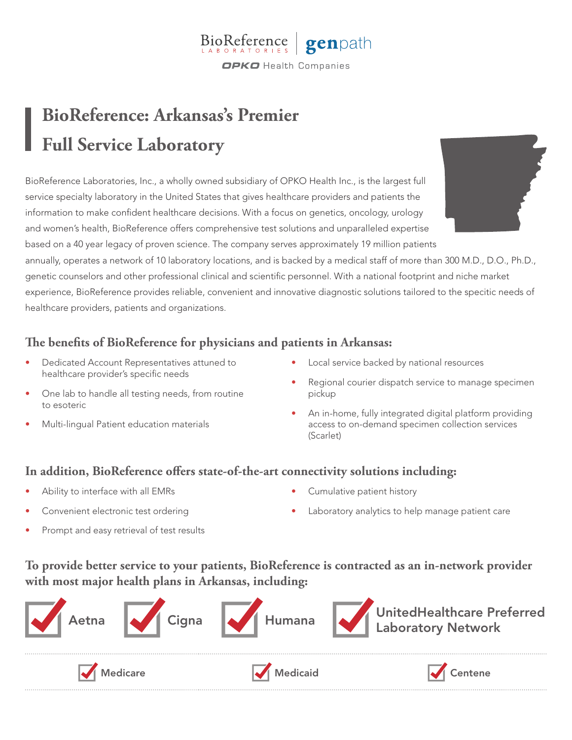

## **BioReference: Arkansas's Premier Full Service Laboratory**

BioReference Laboratories, Inc., a wholly owned subsidiary of OPKO Health Inc., is the largest full service specialty laboratory in the United States that gives healthcare providers and patients the information to make confident healthcare decisions. With a focus on genetics, oncology, urology and women's health, BioReference offers comprehensive test solutions and unparalleled expertise based on a 40 year legacy of proven science. The company serves approximately 19 million patients



annually, operates a network of 10 laboratory locations, and is backed by a medical staff of more than 300 M.D., D.O., Ph.D., genetic counselors and other professional clinical and scientific personnel. With a national footprint and niche market experience, BioReference provides reliable, convenient and innovative diagnostic solutions tailored to the specitic needs of healthcare providers, patients and organizations.

## **The benefits of BioReference for physicians and patients in Arkansas:**

- Dedicated Account Representatives attuned to healthcare provider's specific needs
- One lab to handle all testing needs, from routine to esoteric
- Multi-lingual Patient education materials
- Local service backed by national resources
- Regional courier dispatch service to manage specimen pickup
- An in-home, fully integrated digital platform providing access to on-demand specimen collection services (Scarlet)

## **In addition, BioReference offers state-of-the-art connectivity solutions including:**

- Ability to interface with all EMRs
- Convenient electronic test ordering
- Cumulative patient history
- Laboratory analytics to help manage patient care

Prompt and easy retrieval of test results

**To provide better service to your patients, BioReference is contracted as an in-network provider with most major health plans in Arkansas, including:**